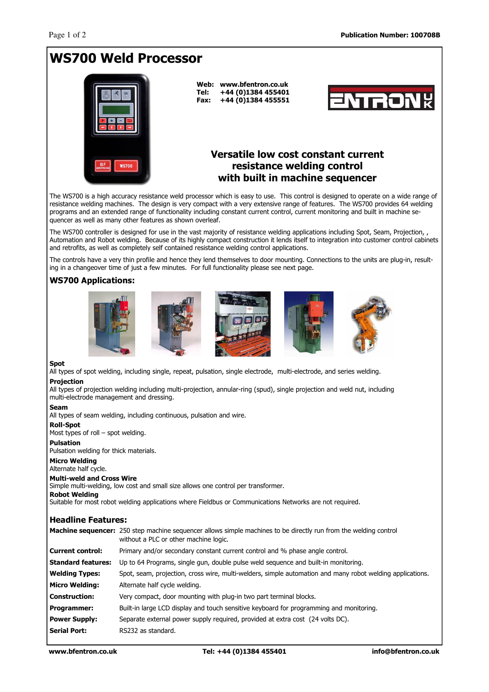# WS700 Weld Processor



Web: www.bfentron.co.uk Tel: +44 (0)1384 455401 Fax: +44 (0)1384 455551



## Versatile low cost constant current resistance welding control with built in machine sequencer

The WS700 is a high accuracy resistance weld processor which is easy to use. This control is designed to operate on a wide range of resistance welding machines. The design is very compact with a very extensive range of features. The WS700 provides 64 welding programs and an extended range of functionality including constant current control, current monitoring and built in machine sequencer as well as many other features as shown overleaf.

The WS700 controller is designed for use in the vast majority of resistance welding applications including Spot, Seam, Projection, , Automation and Robot welding. Because of its highly compact construction it lends itself to integration into customer control cabinets and retrofits, as well as completely self contained resistance welding control applications.

The controls have a very thin profile and hence they lend themselves to door mounting. Connections to the units are plug-in, resulting in a changeover time of just a few minutes. For full functionality please see next page.

### WS700 Applications:











#### Spot

All types of spot welding, including single, repeat, pulsation, single electrode, multi-electrode, and series welding. Projection

All types of projection welding including multi-projection, annular-ring (spud), single projection and weld nut, including multi-electrode management and dressing.

#### Seam

All types of seam welding, including continuous, pulsation and wire.

#### Roll-Spot

Most types of roll – spot welding.

#### Pulsation

Pulsation welding for thick materials.

#### Micro Welding

Alternate half cycle.

#### Multi-weld and Cross Wire

Simple multi-welding, low cost and small size allows one control per transformer.

#### Robot Welding

Suitable for most robot welding applications where Fieldbus or Communications Networks are not required.

#### Headline Features:

|                           | <b>Machine sequencer:</b> 250 step machine sequencer allows simple machines to be directly run from the welding control<br>without a PLC or other machine logic. |
|---------------------------|------------------------------------------------------------------------------------------------------------------------------------------------------------------|
| <b>Current control:</b>   | Primary and/or secondary constant current control and % phase angle control.                                                                                     |
| <b>Standard features:</b> | Up to 64 Programs, single gun, double pulse weld sequence and built-in monitoring.                                                                               |
| <b>Welding Types:</b>     | Spot, seam, projection, cross wire, multi-welders, simple automation and many robot welding applications.                                                        |
| <b>Micro Welding:</b>     | Alternate half cycle welding.                                                                                                                                    |
| <b>Construction:</b>      | Very compact, door mounting with plug-in two part terminal blocks.                                                                                               |
| Programmer:               | Built-in large LCD display and touch sensitive keyboard for programming and monitoring.                                                                          |
| <b>Power Supply:</b>      | Separate external power supply required, provided at extra cost (24 volts DC).                                                                                   |
| <b>Serial Port:</b>       | RS232 as standard.                                                                                                                                               |